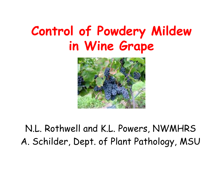# Control of Powdery Mildew in Wine Grape



## N.L. Rothwell and K.L. Powers, NWMHRSA. Schilder, Dept. of Plant Pathology, MSU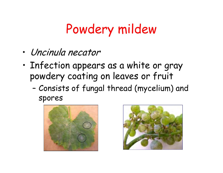# Powdery mildew

- •Uncinula necator
- • Infection appears as a white or gray powdery coating on leaves or fruit
	- – Consists of fungal thread (mycelium) and spores



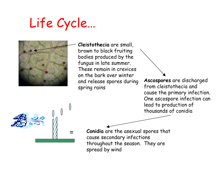# Life Cycle…



Cleistothecia are small, brown to black fruiting bodies produced by the fungus in late summer. These remain in crevices on the bark over winter and release spores during spring rains

Ascospores are discharged from cleistothecia and cause the primary infection. One ascospore infection can lead to production of thousands of conidia



Conidia are the asexual spores that cause secondary infections throughout the season. They are spread by wind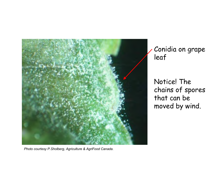

Photo courtesy P.Sholberg, Agriculture & AgriFood Canada.

Conidia on grape leaf

Notice! The chains of spores that can be moved by wind.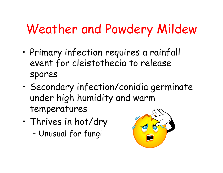# Weather and Powdery Mildew

- • Primary infection requires a rainfall event for cleistothecia to release spores
- • Secondary infection/conidia germinate under high humidity and warm temperatures
- • Thrives in hot/dry
	- –Unusual for fungi

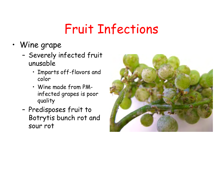# Fruit Infections

- Wine grape
	- – Severely infected fruit unusable
		- Imparts off-flavors and color
		- Wine made from PMinfected grapes is poor quality
	- – Predisposes fruit to Botrytis bunch rot and sour rot

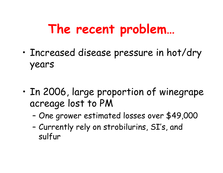# The recent problem…

- • Increased disease pressure in hot/dry years
- • In 2006, large proportion of winegrapeacreage lost to PM
	- ГІПО ЛРАШОР ОСТІРМ One grower estimated losses over \$49,000
	- – Currently rely on strobilurins, SI's, and sulfur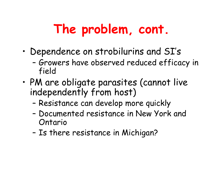# The problem, cont.

- • Dependence on strobilurins and SI's
	- – Growers have observed reduced efficacy in field
- • PM are obligate parasites (cannot live independently from host)
	- –Resistance can develop more quickly
	- – Documented resistance in New York and Ontario
	- –Is there resistance in Michigan?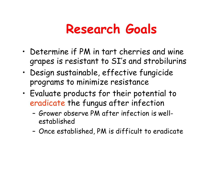## Research Goals

- • Determine if PM in tart cherries and wine grapes is resistant to SI's and strobilurins
- • Design sustainable, effective fungicide programs to minimize resistance
- • Evaluate products for their potential to eradicate the fungus after infection
	- – Grower observe PM after infection is wellestablished
	- –Once established, PM is difficult to eradicate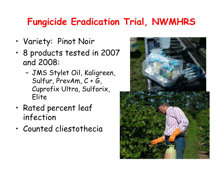## Fungicide Eradication Trial, NWMHRS

- •Variety: Pinot Noir
- • 8 products tested in 2007 and 2008:
	- – JMS Stylet Oil, Kaligreen, Sulfur, PrevAm, C + G, Cuprofix Ultra, Sulforix, Elite
- • Rated percent leaf infection
- •Counted cliestothecia

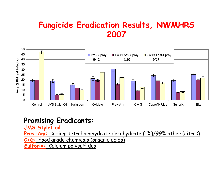#### Fungicide Eradication Results, NWMHRS 2007



#### Promising Eradicants:

JMS Stylet oil

Prev-Am: sodium tetraborohydrate decahydrate (1%)/99% other (citrus)

C+G: food grade chemicals (organic acids)

<u>Sulforix: Calcium polysulfides</u>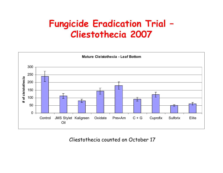### Fungicide Eradication Trial –Cliestothecia <sup>2007</sup>



Cliestothecia counted on October 17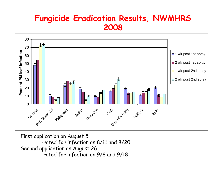#### Fungicide Eradication Results, NWMHRS 2008



First application on August 5 -rated for infection on 8/11 and 8/20Second application on August 26-rated for infection on 9/8 and 9/18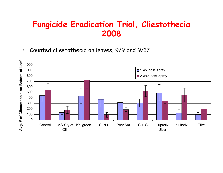#### Fungicide Eradication Trial, Cliestothecia2008

•Counted cliestothecia on leaves, 9/9 and 9/17

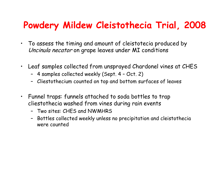## Powdery Mildew Cleistothecia Trial, 2008

- • To assess the timing and amount of cleistotecia produced byUncinula necator on grape leaves under MI conditions
- • Leaf samples collected from unsprayed Chardonel vines at CHES
	- 4 samples collected weekly (Sept. 4 Oct. 2)
	- Cliestothecium counted on top and bottom surfaces of leaves
- Funnel traps: funnels attached to soda bottles to trap cliestothecia washed from vines during rain events
	- Two sites: CHES and NWMHRS
	- Bottles collected weekly unless no precipitation and cleistotheciawere counted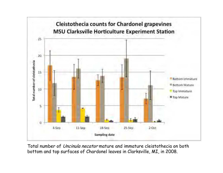

Total number of Uncinula necator mature and immature cleistothecia on both bottom and top surfaces of Chardonel leaves in Clarksville, MI, in 2008.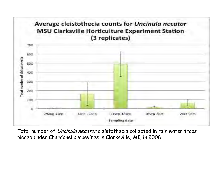

Total number of *Uncinula necator* cleistothecia collected in rain water traps <sup>p</sup>laced under Chardonel grapevines in Clarksville, MI, in 2008.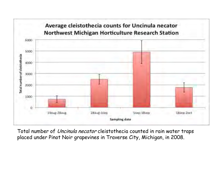

Total number of Uncinula necator cleistothecia counted in rain water traps placed under Pinot Noir grapevines in Traverse City, Michigan, in 2008.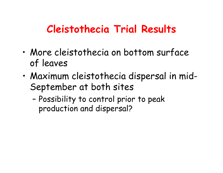## Cleistothecia Trial Results

- • More cleistothecia on bottom surface of leaves
- • Maximum cleistothecia dispersal in mid-September at both sites
	- – Possibility to control prior to peak production and dispersal?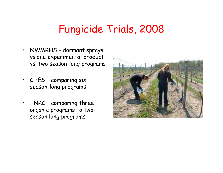## Fungicide Trials, 2008

- • NWMRHS – dormant sprays vs.one experimental product vs. two season-long programs
- $\bullet$  CHES – comparing six season-long programs
- • TNRC – comparing three organic programs to twoseason long programs

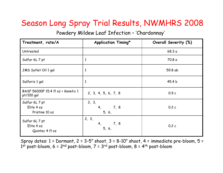#### Season Long Spray Trial Results, NWMHRS 2008

Powdery Mildew Leaf Infection – 'Chardonnay'

| Treatment, rate/A                                | <b>Application Timing*</b>              | Overall Severity (%) |
|--------------------------------------------------|-----------------------------------------|----------------------|
| Untreated                                        |                                         | 68.3a                |
| Sulfur 6L 7 pt                                   | $\mathbf{1}$                            | 70.8 a               |
| JMS Sytlet Oil 1 gal                             | $\mathbf{1}$                            | 59.8 ab              |
| Sulforix 1 gal                                   | $\mathbf{1}$                            | 45.4 <sub>b</sub>    |
| BASF 56000F 15.4 fl oz + Kenetic 1<br>pt/100 gal | 2, 3, 4, 5, 6, 7, 8                     | 0.9c                 |
| Sulfur 6L 7 pt<br>Elite 4 oz<br>Pristine 10 oz   | 2, 3,<br>7,8<br>4 <sub>1</sub><br>5, 6, | 0.2c                 |
| Sulfur 6L 7 pt<br>Elite 4 oz<br>Quintec 4 fl oz  | 2, 3,<br>4,<br>7,8<br>5, 6,             | 0.2c                 |

Spray dates:  $1 =$  Dormant,  $2 = 3-5$ " shoot,  $3 = 8-10$ " shoot,  $4 =$  immediate pre-bloom,  $5 =$  $1^\mathsf{st}$  post-bloom, 6 = 2 $^\mathsf{nd}$  post-bloom, 7 = 3 $^\mathsf{rd}$  post-bloom, 8 = 4 $^\mathsf{th}$  post-bloom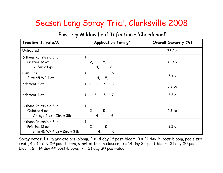#### Season Long Spray Trial, Clarksville 2008

Powdery Mildew Leaf Infection – 'Chardonnel'

| Treatment, rate/A                                                          | <b>Application Timing*</b>                               | Overall Severity (%) |
|----------------------------------------------------------------------------|----------------------------------------------------------|----------------------|
| Untreated                                                                  |                                                          | 76.5 a               |
| Dithane Rainshield 3 lb<br>Pristine 12 oz<br>Sulforix 1 gal                | $\mathbf{1},$<br>5,<br>2,<br>$6\phantom{1}6$<br>4,       | 11.9 b               |
| Flint 2 oz<br>Elite 45 WP 4 oz                                             | 1, 2,<br>6<br>5 <sub>l</sub><br>4,                       | 7.9c                 |
| Adament 3 oz                                                               | 1, 2, 4,<br>5, 6                                         | 5.3 cd               |
| Adament 4 oz                                                               | 3 <sub>1</sub><br>5 <sub>l</sub><br>$\overline{7}$<br>1, | 6.6c                 |
| Dithane Rainshield 3 lb<br>Quintec 4 oz<br>Vintage 4 oz + Ziram 3lb        | 1,<br>5,<br>2,<br>6<br>4,                                | 5.2 cd               |
| Dithane Rainshield 3 lb<br>Pristine 12 oz<br>Elite 45 WP 4 oz + Ziram 3 lb | 1,<br>5,<br>$\mathbf{2}$<br>6<br>4,                      | 2.2 d                |

Spray dates:  $1 =$  immediate pre-bloom,  $2 = 14$  day  $1<sup>st</sup>$  post-bloom,  $3 = 21$  day  $1<sup>st</sup>$  post-bloom, pea sized fruit,  $4 = 14$  day  $2^{nd}$  post bloom, start of bunch closure,  $5 = 14$  day  $3^{rd}$  post-bloom; 21 day  $2^{nd}$  postbloom,  $6 = 14$  day  $4<sup>th</sup>$  post-bloom,  $7 = 21$  day  $3<sup>rd</sup>$  post-bloom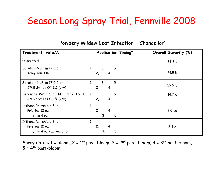### Season Long Spray Trial, Fennville 2008

| Treatment, rate/A                                                    | <b>Application Timing*</b>                                   | Overall Severity (%) |
|----------------------------------------------------------------------|--------------------------------------------------------------|----------------------|
| Untreated                                                            |                                                              | 82.8 a               |
| Sonata + NuFilm 17 0.5 pt<br>Kaligreen 3 lb                          | 5<br>3 <sub>l</sub><br>1,<br>2,<br>4,                        | 41.8 b               |
| Sonata + NuFilm 17 0.5 pt<br>JMS Sytlet Oil 2% (v/v)                 | 5<br>3 <sub>l</sub><br>1 <sub>1</sub><br>2,<br>4,            | 29.9 <sub>b</sub>    |
| Serenade Max 1.5 lb + NuFilm 17 0.5 pt<br>JMS Sytlet Oil 2% (v/v)    | 5<br>3 <sub>l</sub><br>1,<br>2,<br>4,                        | 14.7c                |
| Dithane Rainshield 3 lb<br>Pristine 12 oz<br>Elite 4 oz              | $\mathbf{1},$<br>2 <sub>1</sub><br>4,<br>5<br>3 <sub>l</sub> | 8.0 cd               |
| Dithane Rainshield 3 lb<br>Pristine 12 oz<br>Elite 4 oz + Ziram 3 lb | 1,<br>2 <sub>1</sub><br>5<br>3,                              | 3.4 <sub>d</sub>     |

Powdery Mildew Leaf Infection – 'Chancellor'

Spray dates:  $1 = \text{bloom}, 2 = 1^{st} \text{post-bloom}, 3 = 2^{nd} \text{post-bloom}, 4 = 3^{rd} \text{post-bloom},$ 5 = 4th post-bloom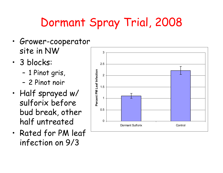# Dormant Spray Trial, 2008

- • Grower-cooperator site in NW
- $\bullet$   $\bullet$  ninrvc: 3 blocks:
	- –1 Pinot gris,
	- –2 Pinot noir
- • Half sprayed w/ sulforix before bud break, other half untreated
- • Rated for PM leaf infection on 9/3